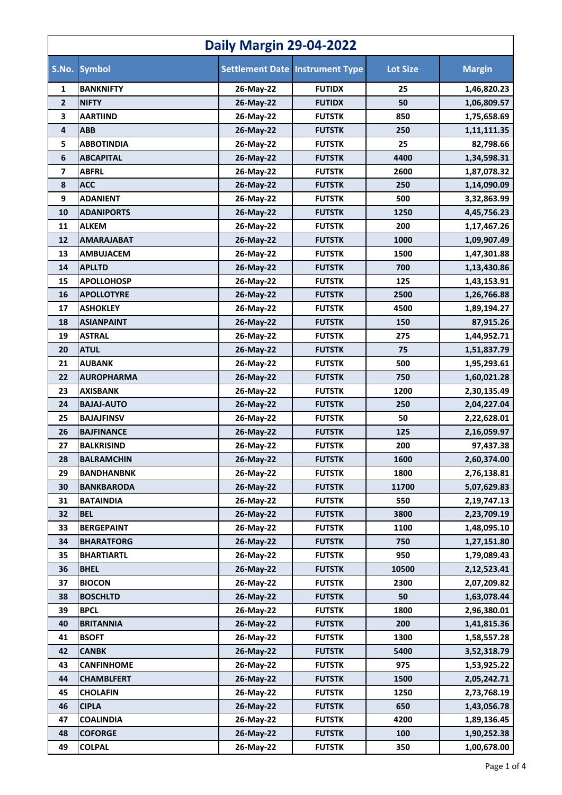| <b>Daily Margin 29-04-2022</b> |                   |           |                                        |                 |               |
|--------------------------------|-------------------|-----------|----------------------------------------|-----------------|---------------|
| S.No.                          | <b>Symbol</b>     |           | <b>Settlement Date Instrument Type</b> | <b>Lot Size</b> | <b>Margin</b> |
| 1                              | <b>BANKNIFTY</b>  | 26-May-22 | <b>FUTIDX</b>                          | 25              | 1,46,820.23   |
| $\mathbf{2}$                   | <b>NIFTY</b>      | 26-May-22 | <b>FUTIDX</b>                          | 50              | 1,06,809.57   |
| 3                              | <b>AARTIIND</b>   | 26-May-22 | <b>FUTSTK</b>                          | 850             | 1,75,658.69   |
| 4                              | <b>ABB</b>        | 26-May-22 | <b>FUTSTK</b>                          | 250             | 1,11,111.35   |
| 5                              | <b>ABBOTINDIA</b> | 26-May-22 | <b>FUTSTK</b>                          | 25              | 82,798.66     |
| 6                              | <b>ABCAPITAL</b>  | 26-May-22 | <b>FUTSTK</b>                          | 4400            | 1,34,598.31   |
| $\overline{\mathbf{z}}$        | <b>ABFRL</b>      | 26-May-22 | <b>FUTSTK</b>                          | 2600            | 1,87,078.32   |
| 8                              | <b>ACC</b>        | 26-May-22 | <b>FUTSTK</b>                          | 250             | 1,14,090.09   |
| 9                              | <b>ADANIENT</b>   | 26-May-22 | <b>FUTSTK</b>                          | 500             | 3,32,863.99   |
| 10                             | <b>ADANIPORTS</b> | 26-May-22 | <b>FUTSTK</b>                          | 1250            | 4,45,756.23   |
| 11                             | <b>ALKEM</b>      | 26-May-22 | <b>FUTSTK</b>                          | 200             | 1,17,467.26   |
| 12                             | <b>AMARAJABAT</b> | 26-May-22 | <b>FUTSTK</b>                          | 1000            | 1,09,907.49   |
| 13                             | <b>AMBUJACEM</b>  | 26-May-22 | <b>FUTSTK</b>                          | 1500            | 1,47,301.88   |
| 14                             | <b>APLLTD</b>     | 26-May-22 | <b>FUTSTK</b>                          | 700             | 1,13,430.86   |
| 15                             | <b>APOLLOHOSP</b> | 26-May-22 | <b>FUTSTK</b>                          | 125             | 1,43,153.91   |
| 16                             | <b>APOLLOTYRE</b> | 26-May-22 | <b>FUTSTK</b>                          | 2500            | 1,26,766.88   |
| 17                             | <b>ASHOKLEY</b>   | 26-May-22 | <b>FUTSTK</b>                          | 4500            | 1,89,194.27   |
| 18                             | <b>ASIANPAINT</b> | 26-May-22 | <b>FUTSTK</b>                          | 150             | 87,915.26     |
| 19                             | <b>ASTRAL</b>     | 26-May-22 | <b>FUTSTK</b>                          | 275             | 1,44,952.71   |
| 20                             | <b>ATUL</b>       | 26-May-22 | <b>FUTSTK</b>                          | 75              | 1,51,837.79   |
| 21                             | <b>AUBANK</b>     | 26-May-22 | <b>FUTSTK</b>                          | 500             | 1,95,293.61   |
| 22                             | <b>AUROPHARMA</b> | 26-May-22 | <b>FUTSTK</b>                          | 750             | 1,60,021.28   |
| 23                             | <b>AXISBANK</b>   | 26-May-22 | <b>FUTSTK</b>                          | 1200            | 2,30,135.49   |
| 24                             | <b>BAJAJ-AUTO</b> | 26-May-22 | <b>FUTSTK</b>                          | 250             | 2,04,227.04   |
| 25                             | <b>BAJAJFINSV</b> | 26-May-22 | <b>FUTSTK</b>                          | 50              | 2,22,628.01   |
| 26                             | <b>BAJFINANCE</b> | 26-May-22 | <b>FUTSTK</b>                          | 125             | 2,16,059.97   |
| 27                             | <b>BALKRISIND</b> | 26-May-22 | <b>FUTSTK</b>                          | 200             | 97,437.38     |
| 28                             | <b>BALRAMCHIN</b> | 26-May-22 | <b>FUTSTK</b>                          | 1600            | 2,60,374.00   |
| 29                             | <b>BANDHANBNK</b> | 26-May-22 | <b>FUTSTK</b>                          | 1800            | 2,76,138.81   |
| 30                             | <b>BANKBARODA</b> | 26-May-22 | <b>FUTSTK</b>                          | 11700           | 5,07,629.83   |
| 31                             | <b>BATAINDIA</b>  | 26-May-22 | <b>FUTSTK</b>                          | 550             | 2,19,747.13   |
| 32                             | <b>BEL</b>        | 26-May-22 | <b>FUTSTK</b>                          | 3800            | 2,23,709.19   |
| 33                             | <b>BERGEPAINT</b> | 26-May-22 | <b>FUTSTK</b>                          | 1100            | 1,48,095.10   |
| 34                             | <b>BHARATFORG</b> | 26-May-22 | <b>FUTSTK</b>                          | 750             | 1,27,151.80   |
| 35                             | <b>BHARTIARTL</b> | 26-May-22 | <b>FUTSTK</b>                          | 950             | 1,79,089.43   |
| 36                             | <b>BHEL</b>       | 26-May-22 | <b>FUTSTK</b>                          | 10500           | 2,12,523.41   |
| 37                             | <b>BIOCON</b>     | 26-May-22 | <b>FUTSTK</b>                          | 2300            | 2,07,209.82   |
| 38                             | <b>BOSCHLTD</b>   | 26-May-22 | <b>FUTSTK</b>                          | 50              | 1,63,078.44   |
| 39                             | <b>BPCL</b>       | 26-May-22 | <b>FUTSTK</b>                          | 1800            | 2,96,380.01   |
| 40                             | <b>BRITANNIA</b>  | 26-May-22 | <b>FUTSTK</b>                          | 200             | 1,41,815.36   |
| 41                             | <b>BSOFT</b>      | 26-May-22 | <b>FUTSTK</b>                          | 1300            | 1,58,557.28   |
| 42                             | <b>CANBK</b>      | 26-May-22 | <b>FUTSTK</b>                          | 5400            | 3,52,318.79   |
| 43                             | <b>CANFINHOME</b> | 26-May-22 | <b>FUTSTK</b>                          | 975             | 1,53,925.22   |
| 44                             | <b>CHAMBLFERT</b> | 26-May-22 | <b>FUTSTK</b>                          | 1500            | 2,05,242.71   |
| 45                             | <b>CHOLAFIN</b>   | 26-May-22 | <b>FUTSTK</b>                          | 1250            | 2,73,768.19   |
| 46                             | <b>CIPLA</b>      | 26-May-22 | <b>FUTSTK</b>                          | 650             | 1,43,056.78   |
| 47                             | <b>COALINDIA</b>  | 26-May-22 | <b>FUTSTK</b>                          | 4200            | 1,89,136.45   |
| 48                             | <b>COFORGE</b>    | 26-May-22 | <b>FUTSTK</b>                          | 100             | 1,90,252.38   |
| 49                             | <b>COLPAL</b>     | 26-May-22 | <b>FUTSTK</b>                          | 350             | 1,00,678.00   |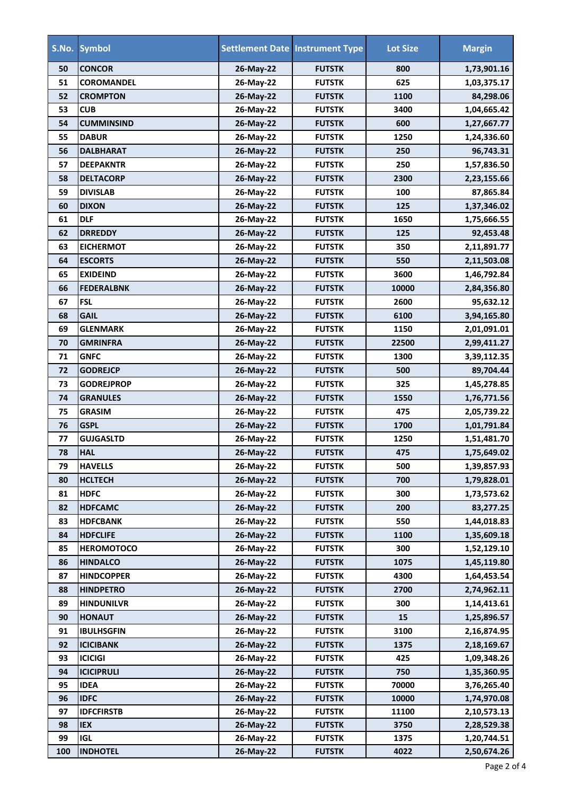|     | S.No. Symbol      |           | <b>Settlement Date Instrument Type</b> | <b>Lot Size</b> | <b>Margin</b> |
|-----|-------------------|-----------|----------------------------------------|-----------------|---------------|
| 50  | <b>CONCOR</b>     | 26-May-22 | <b>FUTSTK</b>                          | 800             | 1,73,901.16   |
| 51  | <b>COROMANDEL</b> | 26-May-22 | <b>FUTSTK</b>                          | 625             | 1,03,375.17   |
| 52  | <b>CROMPTON</b>   | 26-May-22 | <b>FUTSTK</b>                          | 1100            | 84,298.06     |
| 53  | <b>CUB</b>        | 26-May-22 | <b>FUTSTK</b>                          | 3400            | 1,04,665.42   |
| 54  | <b>CUMMINSIND</b> | 26-May-22 | <b>FUTSTK</b>                          | 600             | 1,27,667.77   |
| 55  | <b>DABUR</b>      | 26-May-22 | <b>FUTSTK</b>                          | 1250            | 1,24,336.60   |
| 56  | <b>DALBHARAT</b>  | 26-May-22 | <b>FUTSTK</b>                          | 250             | 96,743.31     |
| 57  | <b>DEEPAKNTR</b>  | 26-May-22 | <b>FUTSTK</b>                          | 250             | 1,57,836.50   |
| 58  | <b>DELTACORP</b>  | 26-May-22 | <b>FUTSTK</b>                          | 2300            | 2,23,155.66   |
| 59  | <b>DIVISLAB</b>   | 26-May-22 | <b>FUTSTK</b>                          | 100             | 87,865.84     |
| 60  | <b>DIXON</b>      | 26-May-22 | <b>FUTSTK</b>                          | 125             | 1,37,346.02   |
| 61  | <b>DLF</b>        | 26-May-22 | <b>FUTSTK</b>                          | 1650            | 1,75,666.55   |
| 62  | <b>DRREDDY</b>    | 26-May-22 | <b>FUTSTK</b>                          | 125             | 92,453.48     |
| 63  | <b>EICHERMOT</b>  | 26-May-22 | <b>FUTSTK</b>                          | 350             | 2,11,891.77   |
| 64  | <b>ESCORTS</b>    | 26-May-22 | <b>FUTSTK</b>                          | 550             | 2,11,503.08   |
| 65  | <b>EXIDEIND</b>   | 26-May-22 | <b>FUTSTK</b>                          | 3600            | 1,46,792.84   |
| 66  | <b>FEDERALBNK</b> | 26-May-22 | <b>FUTSTK</b>                          | 10000           | 2,84,356.80   |
| 67  | <b>FSL</b>        | 26-May-22 | <b>FUTSTK</b>                          | 2600            | 95,632.12     |
| 68  | <b>GAIL</b>       | 26-May-22 | <b>FUTSTK</b>                          | 6100            | 3,94,165.80   |
| 69  | <b>GLENMARK</b>   | 26-May-22 | <b>FUTSTK</b>                          | 1150            | 2,01,091.01   |
| 70  | <b>GMRINFRA</b>   | 26-May-22 | <b>FUTSTK</b>                          | 22500           | 2,99,411.27   |
| 71  | <b>GNFC</b>       | 26-May-22 | <b>FUTSTK</b>                          | 1300            | 3,39,112.35   |
| 72  | <b>GODREJCP</b>   | 26-May-22 | <b>FUTSTK</b>                          | 500             | 89,704.44     |
| 73  | <b>GODREJPROP</b> | 26-May-22 | <b>FUTSTK</b>                          | 325             | 1,45,278.85   |
| 74  | <b>GRANULES</b>   | 26-May-22 | <b>FUTSTK</b>                          | 1550            | 1,76,771.56   |
| 75  | <b>GRASIM</b>     | 26-May-22 | <b>FUTSTK</b>                          | 475             | 2,05,739.22   |
| 76  | <b>GSPL</b>       | 26-May-22 | <b>FUTSTK</b>                          | 1700            | 1,01,791.84   |
| 77  | <b>GUJGASLTD</b>  | 26-May-22 | <b>FUTSTK</b>                          | 1250            | 1,51,481.70   |
| 78  | <b>HAL</b>        | 26-May-22 | <b>FUTSTK</b>                          | 475             | 1,75,649.02   |
| 79  | <b>HAVELLS</b>    | 26-May-22 | <b>FUTSTK</b>                          | 500             | 1,39,857.93   |
| 80  | <b>HCLTECH</b>    | 26-May-22 | <b>FUTSTK</b>                          | 700             | 1,79,828.01   |
| 81  | <b>HDFC</b>       | 26-May-22 | <b>FUTSTK</b>                          | 300             | 1,73,573.62   |
| 82  | <b>HDFCAMC</b>    | 26-May-22 | <b>FUTSTK</b>                          | 200             | 83,277.25     |
| 83  | <b>HDFCBANK</b>   | 26-May-22 | <b>FUTSTK</b>                          | 550             | 1,44,018.83   |
| 84  | <b>HDFCLIFE</b>   | 26-May-22 | <b>FUTSTK</b>                          | 1100            | 1,35,609.18   |
| 85  | <b>HEROMOTOCO</b> | 26-May-22 |                                        | 300             |               |
|     | <b>HINDALCO</b>   |           | <b>FUTSTK</b><br><b>FUTSTK</b>         | 1075            | 1,52,129.10   |
| 86  |                   | 26-May-22 |                                        |                 | 1,45,119.80   |
| 87  | <b>HINDCOPPER</b> | 26-May-22 | <b>FUTSTK</b>                          | 4300            | 1,64,453.54   |
| 88  | <b>HINDPETRO</b>  | 26-May-22 | <b>FUTSTK</b>                          | 2700            | 2,74,962.11   |
| 89  | <b>HINDUNILVR</b> | 26-May-22 | <b>FUTSTK</b>                          | 300             | 1,14,413.61   |
| 90  | <b>HONAUT</b>     | 26-May-22 | <b>FUTSTK</b>                          | 15              | 1,25,896.57   |
| 91  | <b>IBULHSGFIN</b> | 26-May-22 | <b>FUTSTK</b>                          | 3100            | 2,16,874.95   |
| 92  | <b>ICICIBANK</b>  | 26-May-22 | <b>FUTSTK</b>                          | 1375            | 2,18,169.67   |
| 93  | <b>ICICIGI</b>    | 26-May-22 | <b>FUTSTK</b>                          | 425             | 1,09,348.26   |
| 94  | <b>ICICIPRULI</b> | 26-May-22 | <b>FUTSTK</b>                          | 750             | 1,35,360.95   |
| 95  | <b>IDEA</b>       | 26-May-22 | <b>FUTSTK</b>                          | 70000           | 3,76,265.40   |
| 96  | <b>IDFC</b>       | 26-May-22 | <b>FUTSTK</b>                          | 10000           | 1,74,970.08   |
| 97  | <b>IDFCFIRSTB</b> | 26-May-22 | <b>FUTSTK</b>                          | 11100           | 2,10,573.13   |
| 98  | <b>IEX</b>        | 26-May-22 | <b>FUTSTK</b>                          | 3750            | 2,28,529.38   |
| 99  | <b>IGL</b>        | 26-May-22 | <b>FUTSTK</b>                          | 1375            | 1,20,744.51   |
| 100 | <b>INDHOTEL</b>   | 26-May-22 | <b>FUTSTK</b>                          | 4022            | 2,50,674.26   |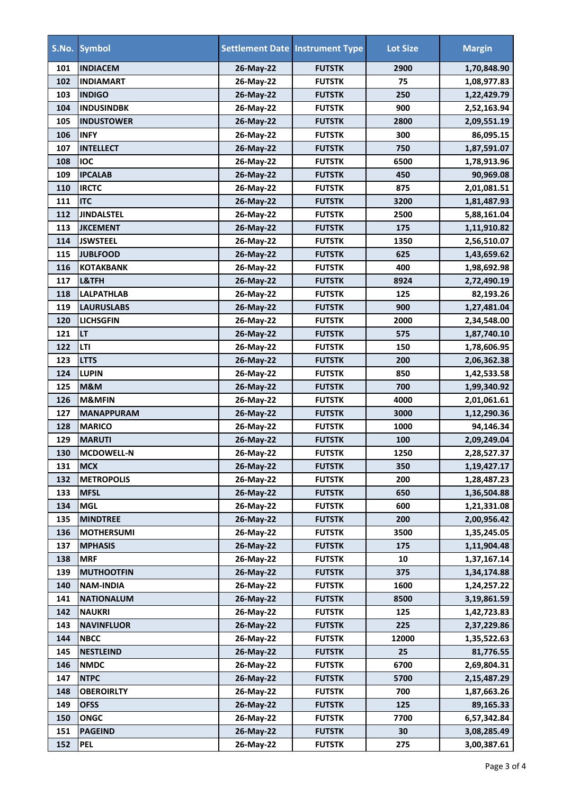|     | S.No. Symbol      |           | <b>Settlement Date Instrument Type</b> | <b>Lot Size</b> | <b>Margin</b> |
|-----|-------------------|-----------|----------------------------------------|-----------------|---------------|
| 101 | <b>INDIACEM</b>   | 26-May-22 | <b>FUTSTK</b>                          | 2900            | 1,70,848.90   |
| 102 | <b>INDIAMART</b>  | 26-May-22 | <b>FUTSTK</b>                          | 75              | 1,08,977.83   |
| 103 | <b>INDIGO</b>     | 26-May-22 | <b>FUTSTK</b>                          | 250             | 1,22,429.79   |
| 104 | <b>INDUSINDBK</b> | 26-May-22 | <b>FUTSTK</b>                          | 900             | 2,52,163.94   |
| 105 | <b>INDUSTOWER</b> | 26-May-22 | <b>FUTSTK</b>                          | 2800            | 2,09,551.19   |
| 106 | <b>INFY</b>       | 26-May-22 | <b>FUTSTK</b>                          | 300             | 86,095.15     |
| 107 | <b>INTELLECT</b>  | 26-May-22 | <b>FUTSTK</b>                          | 750             | 1,87,591.07   |
| 108 | <b>IOC</b>        | 26-May-22 | <b>FUTSTK</b>                          | 6500            | 1,78,913.96   |
| 109 | <b>IPCALAB</b>    | 26-May-22 | <b>FUTSTK</b>                          | 450             | 90,969.08     |
| 110 | <b>IRCTC</b>      | 26-May-22 | <b>FUTSTK</b>                          | 875             | 2,01,081.51   |
| 111 | <b>ITC</b>        | 26-May-22 | <b>FUTSTK</b>                          | 3200            | 1,81,487.93   |
| 112 | <b>JINDALSTEL</b> | 26-May-22 | <b>FUTSTK</b>                          | 2500            | 5,88,161.04   |
| 113 | <b>JKCEMENT</b>   | 26-May-22 | <b>FUTSTK</b>                          | 175             | 1,11,910.82   |
| 114 | <b>JSWSTEEL</b>   | 26-May-22 | <b>FUTSTK</b>                          | 1350            | 2,56,510.07   |
| 115 | <b>JUBLFOOD</b>   | 26-May-22 | <b>FUTSTK</b>                          | 625             | 1,43,659.62   |
| 116 | <b>KOTAKBANK</b>  | 26-May-22 | <b>FUTSTK</b>                          | 400             | 1,98,692.98   |
| 117 | L&TFH             | 26-May-22 | <b>FUTSTK</b>                          | 8924            | 2,72,490.19   |
| 118 | <b>LALPATHLAB</b> | 26-May-22 | <b>FUTSTK</b>                          | 125             | 82,193.26     |
| 119 | <b>LAURUSLABS</b> | 26-May-22 | <b>FUTSTK</b>                          | 900             | 1,27,481.04   |
| 120 | <b>LICHSGFIN</b>  | 26-May-22 | <b>FUTSTK</b>                          | 2000            | 2,34,548.00   |
| 121 | <b>LT</b>         | 26-May-22 | <b>FUTSTK</b>                          | 575             | 1,87,740.10   |
| 122 | LTI               | 26-May-22 | <b>FUTSTK</b>                          | 150             | 1,78,606.95   |
| 123 | <b>LTTS</b>       | 26-May-22 | <b>FUTSTK</b>                          | 200             | 2,06,362.38   |
| 124 | <b>LUPIN</b>      | 26-May-22 | <b>FUTSTK</b>                          | 850             | 1,42,533.58   |
| 125 | M&M               | 26-May-22 | <b>FUTSTK</b>                          | 700             | 1,99,340.92   |
| 126 | <b>M&amp;MFIN</b> | 26-May-22 | <b>FUTSTK</b>                          | 4000            | 2,01,061.61   |
| 127 | <b>MANAPPURAM</b> | 26-May-22 | <b>FUTSTK</b>                          | 3000            | 1,12,290.36   |
| 128 | <b>MARICO</b>     | 26-May-22 | <b>FUTSTK</b>                          | 1000            | 94,146.34     |
| 129 | <b>MARUTI</b>     | 26-May-22 | <b>FUTSTK</b>                          | 100             | 2,09,249.04   |
| 130 | <b>MCDOWELL-N</b> | 26-May-22 | <b>FUTSTK</b>                          | 1250            | 2,28,527.37   |
| 131 | <b>MCX</b>        | 26-May-22 | <b>FUTSTK</b>                          | 350             | 1,19,427.17   |
| 132 | <b>METROPOLIS</b> | 26-May-22 | <b>FUTSTK</b>                          | 200             | 1,28,487.23   |
| 133 | <b>MFSL</b>       | 26-May-22 | <b>FUTSTK</b>                          | 650             | 1,36,504.88   |
| 134 | <b>MGL</b>        | 26-May-22 | <b>FUTSTK</b>                          | 600             | 1,21,331.08   |
| 135 | <b>MINDTREE</b>   | 26-May-22 | <b>FUTSTK</b>                          | 200             | 2,00,956.42   |
| 136 | <b>MOTHERSUMI</b> | 26-May-22 | <b>FUTSTK</b>                          | 3500            | 1,35,245.05   |
| 137 | <b>MPHASIS</b>    | 26-May-22 | <b>FUTSTK</b>                          | 175             | 1,11,904.48   |
| 138 | <b>MRF</b>        | 26-May-22 | <b>FUTSTK</b>                          | 10              | 1,37,167.14   |
| 139 | <b>MUTHOOTFIN</b> | 26-May-22 | <b>FUTSTK</b>                          | 375             | 1,34,174.88   |
| 140 | <b>NAM-INDIA</b>  | 26-May-22 | <b>FUTSTK</b>                          | 1600            | 1,24,257.22   |
| 141 | <b>NATIONALUM</b> | 26-May-22 | <b>FUTSTK</b>                          | 8500            | 3,19,861.59   |
| 142 | <b>NAUKRI</b>     | 26-May-22 | <b>FUTSTK</b>                          | 125             | 1,42,723.83   |
| 143 | <b>NAVINFLUOR</b> | 26-May-22 | <b>FUTSTK</b>                          | 225             | 2,37,229.86   |
| 144 | <b>NBCC</b>       | 26-May-22 | <b>FUTSTK</b>                          | 12000           | 1,35,522.63   |
| 145 | <b>NESTLEIND</b>  | 26-May-22 | <b>FUTSTK</b>                          | 25              | 81,776.55     |
| 146 | <b>NMDC</b>       | 26-May-22 | <b>FUTSTK</b>                          | 6700            | 2,69,804.31   |
| 147 | <b>NTPC</b>       | 26-May-22 | <b>FUTSTK</b>                          | 5700            | 2,15,487.29   |
| 148 | <b>OBEROIRLTY</b> | 26-May-22 | <b>FUTSTK</b>                          | 700             | 1,87,663.26   |
| 149 | <b>OFSS</b>       | 26-May-22 | <b>FUTSTK</b>                          | 125             | 89,165.33     |
| 150 | <b>ONGC</b>       | 26-May-22 | <b>FUTSTK</b>                          | 7700            | 6,57,342.84   |
| 151 | <b>PAGEIND</b>    | 26-May-22 | <b>FUTSTK</b>                          | 30              | 3,08,285.49   |
| 152 | <b>PEL</b>        | 26-May-22 | <b>FUTSTK</b>                          | 275             | 3,00,387.61   |